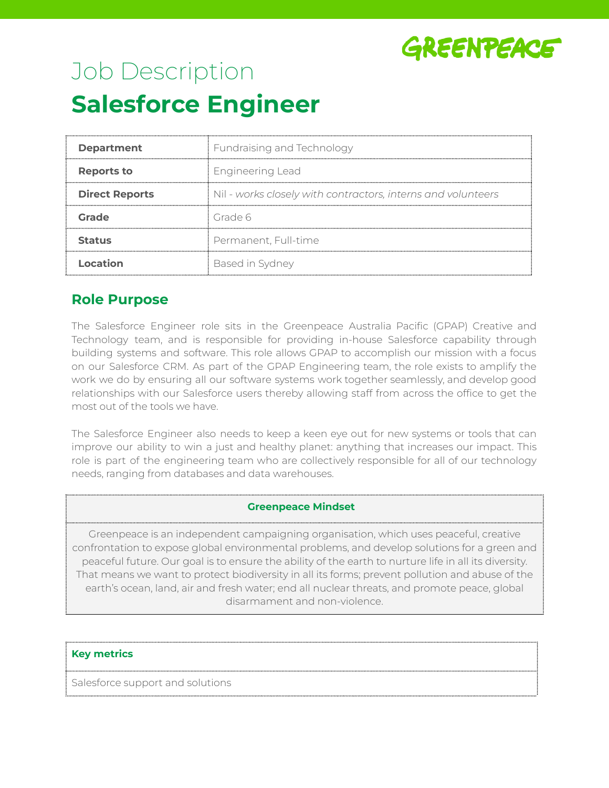

# Job Description **Salesforce Engineer**

| <b>Department</b>     | Fundraising and Technology                                   |  |
|-----------------------|--------------------------------------------------------------|--|
| Reports to            | <b>Engineering Lead</b>                                      |  |
| <b>Direct Reports</b> | Nil - works closely with contractors, interns and volunteers |  |
| Grade                 | Grade 6                                                      |  |
| <b>Status</b>         | Permanent, Full-time                                         |  |
| ocation               | Based in Sydney                                              |  |

# **Role Purpose**

The Salesforce Engineer role sits in the Greenpeace Australia Pacific (GPAP) Creative and Technology team, and is responsible for providing in-house Salesforce capability through building systems and software. This role allows GPAP to accomplish our mission with a focus on our Salesforce CRM. As part of the GPAP Engineering team, the role exists to amplify the work we do by ensuring all our software systems work together seamlessly, and develop good relationships with our Salesforce users thereby allowing staff from across the office to get the most out of the tools we have.

The Salesforce Engineer also needs to keep a keen eye out for new systems or tools that can improve our ability to win a just and healthy planet: anything that increases our impact. This role is part of the engineering team who are collectively responsible for all of our technology needs, ranging from databases and data warehouses.

## **Greenpeace Mindset**

Greenpeace is an independent campaigning organisation, which uses peaceful, creative confrontation to expose global environmental problems, and develop solutions for a green and peaceful future. Our goal is to ensure the ability of the earth to nurture life in all its diversity. That means we want to protect biodiversity in all its forms; prevent pollution and abuse of the earth's ocean, land, air and fresh water; end all nuclear threats, and promote peace, global disarmament and non-violence.

## **Key metrics**

Salesforce support and solutions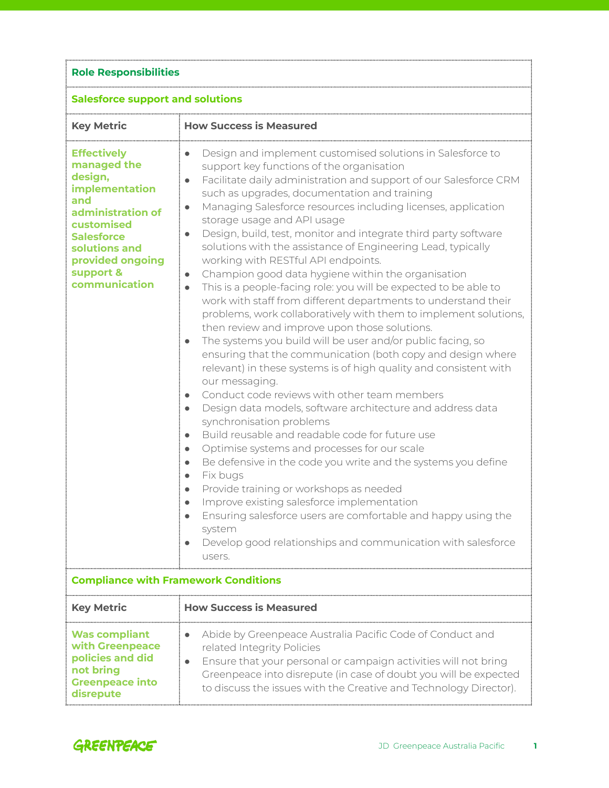| <b>Role Responsibilities</b><br><b>Salesforce support and solutions</b>                                                                                                                          |                                                                                                                                                                                                                                                                                                                                                                                                                                                                                                                                                                                                                                                                                                                                                                                                                                                                                                                                                                                                                                                                                                                                                                                                                                                                                                                                                                                                                                                                                                                                                                                                                                                                                                                                                        |  |
|--------------------------------------------------------------------------------------------------------------------------------------------------------------------------------------------------|--------------------------------------------------------------------------------------------------------------------------------------------------------------------------------------------------------------------------------------------------------------------------------------------------------------------------------------------------------------------------------------------------------------------------------------------------------------------------------------------------------------------------------------------------------------------------------------------------------------------------------------------------------------------------------------------------------------------------------------------------------------------------------------------------------------------------------------------------------------------------------------------------------------------------------------------------------------------------------------------------------------------------------------------------------------------------------------------------------------------------------------------------------------------------------------------------------------------------------------------------------------------------------------------------------------------------------------------------------------------------------------------------------------------------------------------------------------------------------------------------------------------------------------------------------------------------------------------------------------------------------------------------------------------------------------------------------------------------------------------------------|--|
|                                                                                                                                                                                                  |                                                                                                                                                                                                                                                                                                                                                                                                                                                                                                                                                                                                                                                                                                                                                                                                                                                                                                                                                                                                                                                                                                                                                                                                                                                                                                                                                                                                                                                                                                                                                                                                                                                                                                                                                        |  |
| <b>Effectively</b><br>managed the<br>design,<br>implementation<br>and<br>administration of<br>customised<br><b>Salesforce</b><br>solutions and<br>provided ongoing<br>support &<br>communication | Design and implement customised solutions in Salesforce to<br>support key functions of the organisation<br>Facilitate daily administration and support of our Salesforce CRM<br>$\bullet$<br>such as upgrades, documentation and training<br>Managing Salesforce resources including licenses, application<br>$\bullet$<br>storage usage and API usage<br>Design, build, test, monitor and integrate third party software<br>$\bullet$<br>solutions with the assistance of Engineering Lead, typically<br>working with RESTful API endpoints.<br>Champion good data hygiene within the organisation<br>$\bullet$<br>This is a people-facing role: you will be expected to be able to<br>work with staff from different departments to understand their<br>problems, work collaboratively with them to implement solutions,<br>then review and improve upon those solutions.<br>The systems you build will be user and/or public facing, so<br>ensuring that the communication (both copy and design where<br>relevant) in these systems is of high quality and consistent with<br>our messaging.<br>Conduct code reviews with other team members<br>$\bullet$<br>Design data models, software architecture and address data<br>$\bullet$<br>synchronisation problems<br>Build reusable and readable code for future use<br>$\bullet$<br>Optimise systems and processes for our scale<br>$\bullet$<br>Be defensive in the code you write and the systems you define<br>$\bullet$<br>Fix bugs<br>$\bullet$<br>Provide training or workshops as needed<br>Improve existing salesforce implementation<br>Ensuring salesforce users are comfortable and happy using the<br>system<br>Develop good relationships and communication with salesforce<br>users. |  |
| <b>Compliance with Framework Conditions</b>                                                                                                                                                      |                                                                                                                                                                                                                                                                                                                                                                                                                                                                                                                                                                                                                                                                                                                                                                                                                                                                                                                                                                                                                                                                                                                                                                                                                                                                                                                                                                                                                                                                                                                                                                                                                                                                                                                                                        |  |
| <b>Key Metric</b>                                                                                                                                                                                | <b>How Success is Measured</b>                                                                                                                                                                                                                                                                                                                                                                                                                                                                                                                                                                                                                                                                                                                                                                                                                                                                                                                                                                                                                                                                                                                                                                                                                                                                                                                                                                                                                                                                                                                                                                                                                                                                                                                         |  |
| <b>Was compliant</b><br>with Greenpeace<br>policies and did<br>not bring<br><b>Greenpeace into</b><br>disrepute                                                                                  | Abide by Greenpeace Australia Pacific Code of Conduct and<br>related Integrity Policies<br>Ensure that your personal or campaign activities will not bring<br>Greenpeace into disrepute (in case of doubt you will be expected<br>to discuss the issues with the Creative and Technology Director).                                                                                                                                                                                                                                                                                                                                                                                                                                                                                                                                                                                                                                                                                                                                                                                                                                                                                                                                                                                                                                                                                                                                                                                                                                                                                                                                                                                                                                                    |  |